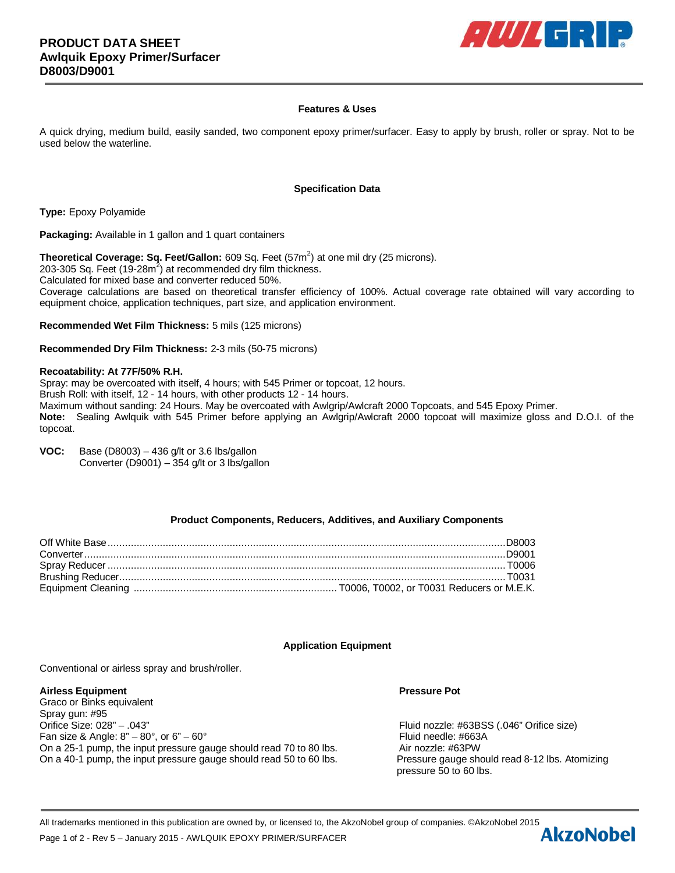

# **Features & Uses**

A quick drying, medium build, easily sanded, two component epoxy primer/surfacer. Easy to apply by brush, roller or spray. Not to be used below the waterline.

### **Specification Data**

**Type:** Epoxy Polyamide

**Packaging:** Available in 1 gallon and 1 quart containers

**Theoretical Coverage: Sq. Feet/Gallon:** 609 Sq. Feet (57m<sup>2</sup>) at one mil dry (25 microns).

203-305 Sq. Feet (19-28m<sup>2</sup>) at recommended dry film thickness.

Calculated for mixed base and converter reduced 50%.

Coverage calculations are based on theoretical transfer efficiency of 100%. Actual coverage rate obtained will vary according to equipment choice, application techniques, part size, and application environment.

**Recommended Wet Film Thickness:** 5 mils (125 microns)

**Recommended Dry Film Thickness:** 2-3 mils (50-75 microns)

## **Recoatability: At 77F/50% R.H.**

Spray: may be overcoated with itself, 4 hours; with 545 Primer or topcoat, 12 hours. Brush Roll: with itself, 12 - 14 hours, with other products 12 - 14 hours. Maximum without sanding: 24 Hours. May be overcoated with Awlgrip/Awlcraft 2000 Topcoats, and 545 Epoxy Primer. **Note:** Sealing Awlquik with 545 Primer before applying an Awlgrip/Awlcraft 2000 topcoat will maximize gloss and D.O.I. of the topcoat.

**VOC:** Base (D8003) – 436 g/lt or 3.6 lbs/gallon Converter (D9001) – 354 g/lt or 3 lbs/gallon

## **Product Components, Reducers, Additives, and Auxiliary Components**

## **Application Equipment**

Conventional or airless spray and brush/roller.

## **Airless Equipment Pressure Pot**

Graco or Binks equivalent Spray gun: #95 Orifice Size: 028" – .043" Fluid nozzle: #63BSS (.046" Orifice size) Fan size & Angle:  $8^{\circ}$  –  $80^{\circ}$ , or  $6^{\circ}$  –  $60^{\circ}$  Find needle: #663A On a 25-1 pump, the input pressure gauge should read 70 to 80 lbs. Air nozzle: #63PW On a 40-1 pump, the input pressure gauge should read 50 to 60 lbs. Pressure gauge should read 8-12 lbs. Atomizing

pressure 50 to 60 lbs.